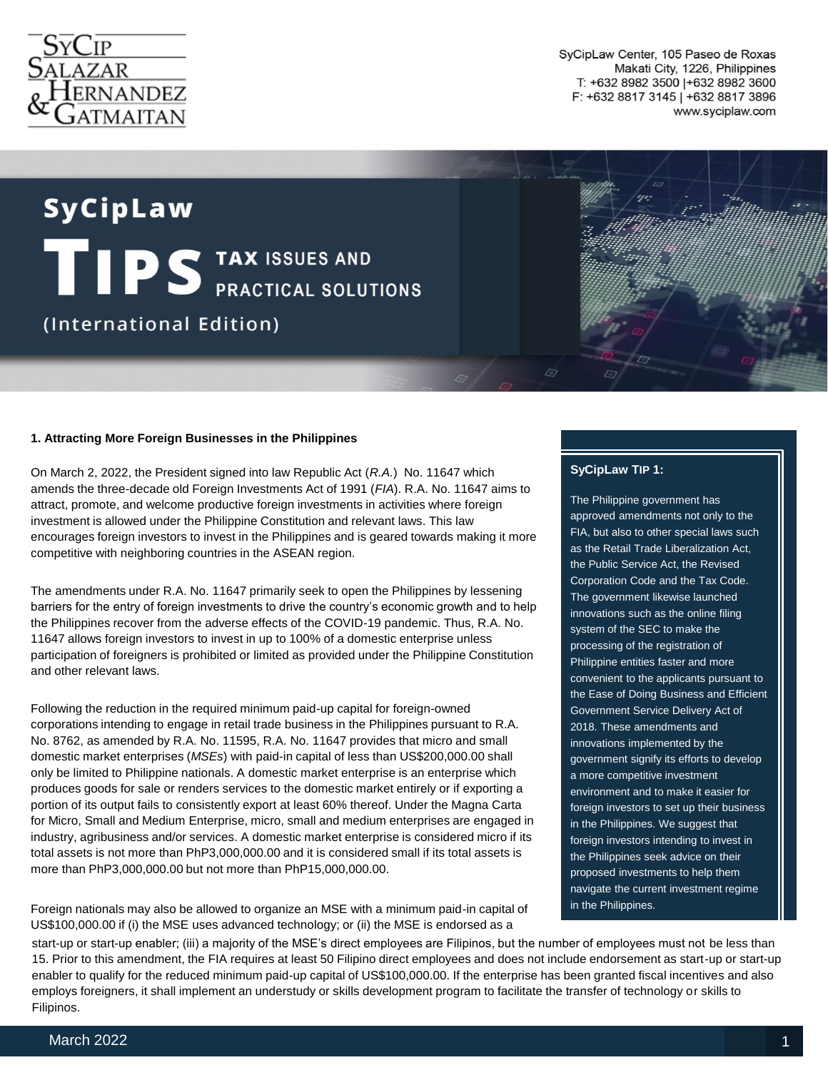

SyCipLaw Center, 105 Paseo de Roxas Makati City, 1226, Philippines T: +632 8982 3500 | +632 8982 3600 F: +632 8817 3145 | +632 8817 3896 www.syciplaw.com

# SyCipLaw TIPS TAX ISSUES AND (International Edition)

#### **1. Attracting More Foreign Businesses in the Philippines**

On March 2, 2022, the President signed into law Republic Act (*R.A.*) No. 11647 which amends the three-decade old Foreign Investments Act of 1991 (*FIA*). R.A. No. 11647 aims to attract, promote, and welcome productive foreign investments in activities where foreign investment is allowed under the Philippine Constitution and relevant laws. This law encourages foreign investors to invest in the Philippines and is geared towards making it more competitive with neighboring countries in the ASEAN region.

The amendments under R.A. No. 11647 primarily seek to open the Philippines by lessening barriers for the entry of foreign investments to drive the country's economic growth and to help the Philippines recover from the adverse effects of the COVID-19 pandemic. Thus, R.A. No. 11647 allows foreign investors to invest in up to 100% of a domestic enterprise unless participation of foreigners is prohibited or limited as provided under the Philippine Constitution and other relevant laws.

Following the reduction in the required minimum paid-up capital for foreign-owned corporations intending to engage in retail trade business in the Philippines pursuant to R.A. No. 8762, as amended by R.A. No. 11595, R.A. No. 11647 provides that micro and small domestic market enterprises (*MSEs*) with paid-in capital of less than US\$200,000.00 shall only be limited to Philippine nationals. A domestic market enterprise is an enterprise which produces goods for sale or renders services to the domestic market entirely or if exporting a portion of its output fails to consistently export at least 60% thereof. Under the Magna Carta for Micro, Small and Medium Enterprise, micro, small and medium enterprises are engaged in industry, agribusiness and/or services. A domestic market enterprise is considered micro if its total assets is not more than PhP3,000,000.00 and it is considered small if its total assets is more than PhP3,000,000.00 but not more than PhP15,000,000.00.

Foreign nationals may also be allowed to organize an MSE with a minimum paid-in capital of US\$100,000.00 if (i) the MSE uses advanced technology; or (ii) the MSE is endorsed as a

# **SyCipLaw TIP 1:**

The Philippine government has approved amendments not only to the FIA, but also to other special laws such as the Retail Trade Liberalization Act, the Public Service Act, the Revised Corporation Code and the Tax Code. The government likewise launched innovations such as the online filing system of the SEC to make the processing of the registration of Philippine entities faster and more convenient to the applicants pursuant to the Ease of Doing Business and Efficient Government Service Delivery Act of 2018. These amendments and innovations implemented by the government signify its efforts to develop a more competitive investment environment and to make it easier for foreign investors to set up their business in the Philippines. We suggest that foreign investors intending to invest in the Philippines seek advice on their proposed investments to help them navigate the current investment regime in the Philippines.

start-up or start-up enabler; (iii) a majority of the MSE's direct employees are Filipinos, but the number of employees must not be less than 15. Prior to this amendment, the FIA requires at least 50 Filipino direct employees and does not include endorsement as start-up or start-up enabler to qualify for the reduced minimum paid-up capital of US\$100,000.00. If the enterprise has been granted fiscal incentives and also employs foreigners, it shall implement an understudy or skills development program to facilitate the transfer of technology or skills to Filipinos.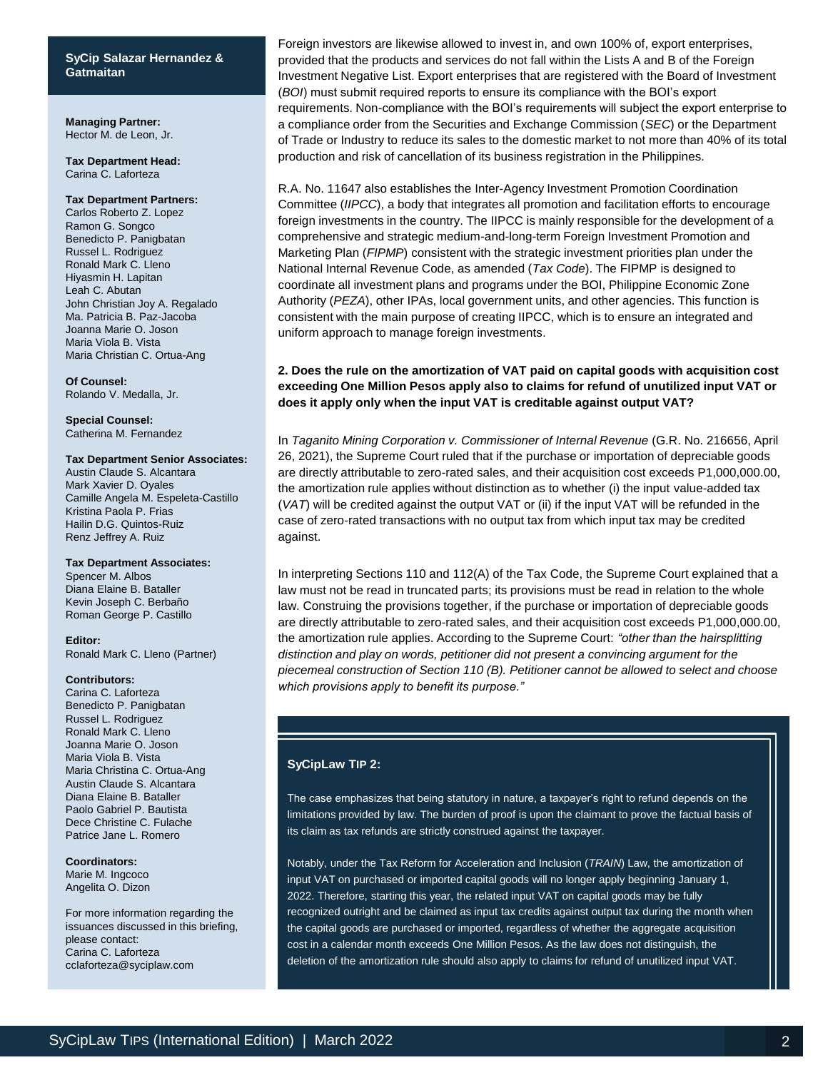# **SyCip Salazar Hernandez SyCip Salazar Hernandez & & Gatmaitan Gatmaitan**

**Managing Partner:** Hector M. de Leon, Jr.

#### **Tax Department Head:** Carina C. Laforteza

#### **Tax Department Partners:**

Carlos Roberto Z. Lopez Ramon G. Songco Benedicto P. Panigbatan Russel L. Rodriguez Ronald Mark C. Lleno Hiyasmin H. Lapitan Leah C. Abutan John Christian Joy A. Regalado Ma. Patricia B. Paz-Jacoba Joanna Marie O. Joson Maria Viola B. Vista Maria Christian C. Ortua-Ang

**Of Counsel:** Rolando V. Medalla, Jr.

**Special Counsel:** Catherina M. Fernandez

#### **Tax Department Senior Associates:**

Austin Claude S. Alcantara Mark Xavier D. Oyales Camille Angela M. Espeleta-Castillo Kristina Paola P. Frias Hailin D.G. Quintos-Ruiz Renz Jeffrey A. Ruiz

#### **Tax Department Associates:**

Spencer M. Albos Diana Elaine B. Bataller Kevin Joseph C. Berbaño Roman George P. Castillo

**Editor:**

Ronald Mark C. Lleno (Partner)

#### **Contributors:**

Carina C. Laforteza Benedicto P. Panigbatan Russel L. Rodriguez Ronald Mark C. Lleno Joanna Marie O. Joson Maria Viola B. Vista Maria Christina C. Ortua-Ang Austin Claude S. Alcantara Diana Elaine B. Bataller Paolo Gabriel P. Bautista Dece Christine C. Fulache Patrice Jane L. Romero

#### **Coordinators:**

Marie M. Ingcoco Angelita O. Dizon

For more information regarding the issuances discussed in this briefing, please contact: Carina C. Laforteza cclaforteza@syciplaw.com

Foreign investors are likewise allowed to invest in, and own 100% of, export enterprises, provided that the products and services do not fall within the Lists A and B of the Foreign Investment Negative List. Export enterprises that are registered with the Board of Investment (*BOI*) must submit required reports to ensure its compliance with the BOI's export requirements. Non-compliance with the BOI's requirements will subject the export enterprise to a compliance order from the Securities and Exchange Commission (*SEC*) or the Department of Trade or Industry to reduce its sales to the domestic market to not more than 40% of its total production and risk of cancellation of its business registration in the Philippines.

R.A. No. 11647 also establishes the Inter-Agency Investment Promotion Coordination Committee (*IIPCC*), a body that integrates all promotion and facilitation efforts to encourage foreign investments in the country. The IIPCC is mainly responsible for the development of a comprehensive and strategic medium-and-long-term Foreign Investment Promotion and Marketing Plan (*FIPMP*) consistent with the strategic investment priorities plan under the National Internal Revenue Code, as amended (*Tax Code*). The FIPMP is designed to coordinate all investment plans and programs under the BOI, Philippine Economic Zone Authority (*PEZA*), other IPAs, local government units, and other agencies. This function is consistent with the main purpose of creating IIPCC, which is to ensure an integrated and uniform approach to manage foreign investments.

# **2. Does the rule on the amortization of VAT paid on capital goods with acquisition cost exceeding One Million Pesos apply also to claims for refund of unutilized input VAT or does it apply only when the input VAT is creditable against output VAT?**

In *Taganito Mining Corporation v. Commissioner of Internal Revenue* (G.R. No. 216656, April 26, 2021), the Supreme Court ruled that if the purchase or importation of depreciable goods are directly attributable to zero-rated sales, and their acquisition cost exceeds P1,000,000.00, the amortization rule applies without distinction as to whether (i) the input value-added tax (*VAT*) will be credited against the output VAT or (ii) if the input VAT will be refunded in the case of zero-rated transactions with no output tax from which input tax may be credited against.

In interpreting Sections 110 and 112(A) of the Tax Code, the Supreme Court explained that a law must not be read in truncated parts; its provisions must be read in relation to the whole law. Construing the provisions together, if the purchase or importation of depreciable goods are directly attributable to zero-rated sales, and their acquisition cost exceeds P1,000,000.00, the amortization rule applies. According to the Supreme Court: *"other than the hairsplitting distinction and play on words, petitioner did not present a convincing argument for the piecemeal construction of Section 110 (B). Petitioner cannot be allowed to select and choose which provisions apply to benefit its purpose."* 

#### **SyCipLaw TIP 2:**

The case emphasizes that being statutory in nature, a taxpayer's right to refund depends on the limitations provided by law. The burden of proof is upon the claimant to prove the factual basis of its claim as tax refunds are strictly construed against the taxpayer.

Notably, under the Tax Reform for Acceleration and Inclusion (*TRAIN*) Law, the amortization of input VAT on purchased or imported capital goods will no longer apply beginning January 1, 2022. Therefore, starting this year, the related input VAT on capital goods may be fully recognized outright and be claimed as input tax credits against output tax during the month when the capital goods are purchased or imported, regardless of whether the aggregate acquisition cost in a calendar month exceeds One Million Pesos. As the law does not distinguish, the deletion of the amortization rule should also apply to claims for refund of unutilized input VAT.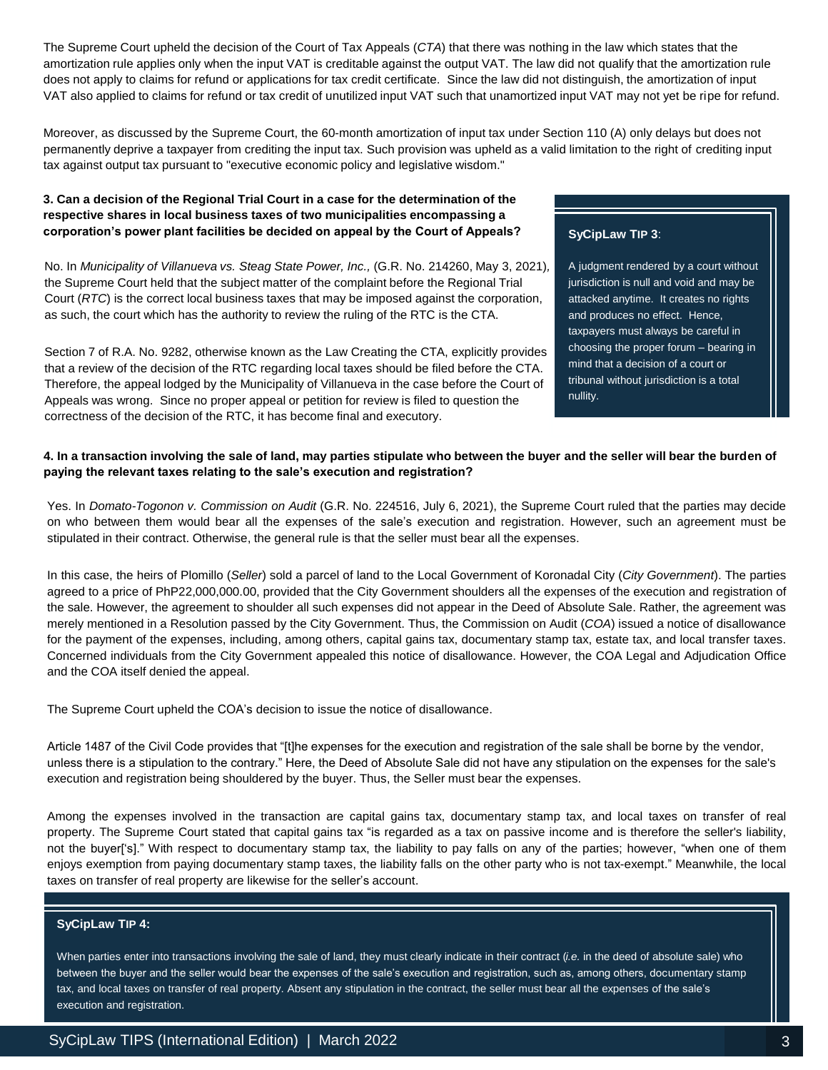The Supreme Court upheld the decision of the Court of Tax Appeals (*CTA*) that there was nothing in the law which states that the amortization rule applies only when the input VAT is creditable against the output VAT. The law did not qualify that the amortization rule does not apply to claims for refund or applications for tax credit certificate. Since the law did not distinguish, the amortization of input VAT also applied to claims for refund or tax credit of unutilized input VAT such that unamortized input VAT may not yet be ripe for refund.

Moreover, as discussed by the Supreme Court, the 60-month amortization of input tax under Section 110 (A) only delays but does not permanently deprive a taxpayer from crediting the input tax. Such provision was upheld as a valid limitation to the right of crediting input tax against output tax pursuant to "executive economic policy and legislative wisdom."

# **3. Can a decision of the Regional Trial Court in a case for the determination of the respective shares in local business taxes of two municipalities encompassing a corporation's power plant facilities be decided on appeal by the Court of Appeals?**

No. In *Municipality of Villanueva vs. Steag State Power, Inc.,* (G.R. No. 214260, May 3, 2021)*,* the Supreme Court held that the subject matter of the complaint before the Regional Trial Court (*RTC*) is the correct local business taxes that may be imposed against the corporation, as such, the court which has the authority to review the ruling of the RTC is the CTA.

Section 7 of R.A. No. 9282, otherwise known as the Law Creating the CTA, explicitly provides that a review of the decision of the RTC regarding local taxes should be filed before the CTA. Therefore, the appeal lodged by the Municipality of Villanueva in the case before the Court of Appeals was wrong. Since no proper appeal or petition for review is filed to question the correctness of the decision of the RTC, it has become final and executory.

# **SyCipLaw TIP 3**:

A judgment rendered by a court without jurisdiction is null and void and may be attacked anytime. It creates no rights and produces no effect. Hence, taxpayers must always be careful in choosing the proper forum – bearing in mind that a decision of a court or tribunal without jurisdiction is a total nullity.

# **4. In a transaction involving the sale of land, may parties stipulate who between the buyer and the seller will bear the burden of paying the relevant taxes relating to the sale's execution and registration?**

Yes. In *Domato-Togonon v. Commission on Audit* (G.R. No. 224516, July 6, 2021), the Supreme Court ruled that the parties may decide on who between them would bear all the expenses of the sale's execution and registration. However, such an agreement must be stipulated in their contract. Otherwise, the general rule is that the seller must bear all the expenses.

In this case, the heirs of Plomillo (*Seller*) sold a parcel of land to the Local Government of Koronadal City (*City Government*). The parties agreed to a price of PhP22,000,000.00, provided that the City Government shoulders all the expenses of the execution and registration of the sale. However, the agreement to shoulder all such expenses did not appear in the Deed of Absolute Sale. Rather, the agreement was merely mentioned in a Resolution passed by the City Government. Thus, the Commission on Audit (*COA*) issued a notice of disallowance for the payment of the expenses, including, among others, capital gains tax, documentary stamp tax, estate tax, and local transfer taxes. Concerned individuals from the City Government appealed this notice of disallowance. However, the COA Legal and Adjudication Office and the COA itself denied the appeal.

The Supreme Court upheld the COA's decision to issue the notice of disallowance.

Article 1487 of the Civil Code provides that "[t]he expenses for the execution and registration of the sale shall be borne by the vendor, unless there is a stipulation to the contrary." Here, the Deed of Absolute Sale did not have any stipulation on the expenses for the sale's execution and registration being shouldered by the buyer. Thus, the Seller must bear the expenses.

Among the expenses involved in the transaction are capital gains tax, documentary stamp tax, and local taxes on transfer of real property. The Supreme Court stated that capital gains tax "is regarded as a tax on passive income and is therefore the seller's liability, not the buyer['s]." With respect to documentary stamp tax, the liability to pay falls on any of the parties; however, "when one of them enjoys exemption from paying documentary stamp taxes, the liability falls on the other party who is not tax-exempt." Meanwhile, the local taxes on transfer of real property are likewise for the seller's account.

# **SyCipLaw TIP 4:**

When parties enter into transactions involving the sale of land, they must clearly indicate in their contract (*i.e.* in the deed of absolute sale) who between the buyer and the seller would bear the expenses of the sale's execution and registration, such as, among others, documentary stamp tax, and local taxes on transfer of real property. Absent any stipulation in the contract, the seller must bear all the expenses of the sale's execution and registration.

Syciety and the syciety of the syciety of the syciety of the syciety of the syciety of the syciety of the syciety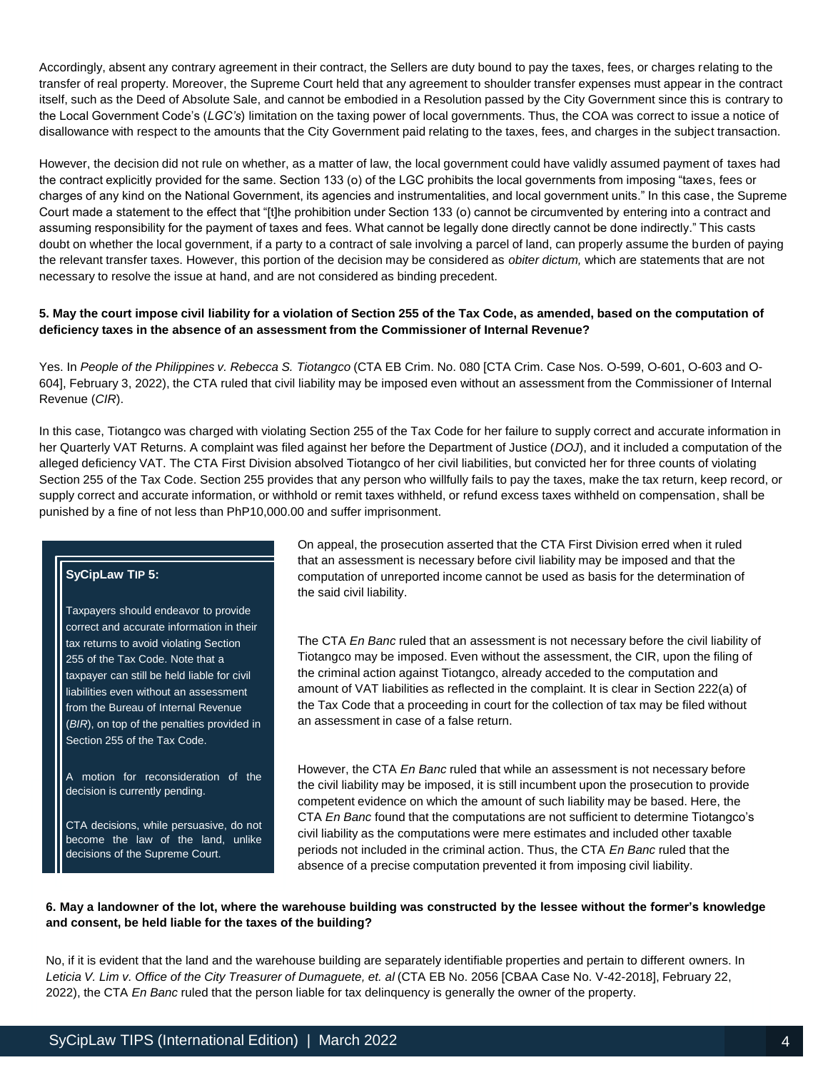Accordingly, absent any contrary agreement in their contract, the Sellers are duty bound to pay the taxes, fees, or charges relating to the transfer of real property. Moreover, the Supreme Court held that any agreement to shoulder transfer expenses must appear in the contract itself, such as the Deed of Absolute Sale, and cannot be embodied in a Resolution passed by the City Government since this is contrary to the Local Government Code's (*LGC's*) limitation on the taxing power of local governments. Thus, the COA was correct to issue a notice of disallowance with respect to the amounts that the City Government paid relating to the taxes, fees, and charges in the subject transaction.

However, the decision did not rule on whether, as a matter of law, the local government could have validly assumed payment of taxes had the contract explicitly provided for the same. Section 133 (o) of the LGC prohibits the local governments from imposing "taxes, fees or charges of any kind on the National Government, its agencies and instrumentalities, and local government units." In this case, the Supreme Court made a statement to the effect that "[t]he prohibition under Section 133 (o) cannot be circumvented by entering into a contract and assuming responsibility for the payment of taxes and fees. What cannot be legally done directly cannot be done indirectly." This casts doubt on whether the local government, if a party to a contract of sale involving a parcel of land, can properly assume the burden of paying the relevant transfer taxes. However, this portion of the decision may be considered as *obiter dictum,* which are statements that are not necessary to resolve the issue at hand, and are not considered as binding precedent.

# **5. May the court impose civil liability for a violation of Section 255 of the Tax Code, as amended, based on the computation of deficiency taxes in the absence of an assessment from the Commissioner of Internal Revenue?**

Yes. In *People of the Philippines v. Rebecca S. Tiotangco* (CTA EB Crim. No. 080 [CTA Crim. Case Nos. O-599, O-601, O-603 and O-604], February 3, 2022), the CTA ruled that civil liability may be imposed even without an assessment from the Commissioner of Internal Revenue (*CIR*).

In this case, Tiotangco was charged with violating Section 255 of the Tax Code for her failure to supply correct and accurate information in her Quarterly VAT Returns. A complaint was filed against her before the Department of Justice (*DOJ*), and it included a computation of the alleged deficiency VAT. The CTA First Division absolved Tiotangco of her civil liabilities, but convicted her for three counts of violating Section 255 of the Tax Code. Section 255 provides that any person who willfully fails to pay the taxes, make the tax return, keep record, or supply correct and accurate information, or withhold or remit taxes withheld, or refund excess taxes withheld on compensation, shall be punished by a fine of not less than PhP10,000.00 and suffer imprisonment.

# **SyCipLaw TIP 5:**

Taxpayers should endeavor to provide correct and accurate information in their tax returns to avoid violating Section 255 of the Tax Code. Note that a taxpayer can still be held liable for civil liabilities even without an assessment from the Bureau of Internal Revenue (*BIR*), on top of the penalties provided in Section 255 of the Tax Code.

A motion for reconsideration of the decision is currently pending.

CTA decisions, while persuasive, do not become the law of the land, unlike decisions of the Supreme Court.

On appeal, the prosecution asserted that the CTA First Division erred when it ruled that an assessment is necessary before civil liability may be imposed and that the computation of unreported income cannot be used as basis for the determination of the said civil liability.

The CTA *En Banc* ruled that an assessment is not necessary before the civil liability of Tiotangco may be imposed. Even without the assessment, the CIR, upon the filing of the criminal action against Tiotangco, already acceded to the computation and amount of VAT liabilities as reflected in the complaint. It is clear in Section 222(a) of the Tax Code that a proceeding in court for the collection of tax may be filed without an assessment in case of a false return.

However, the CTA *En Banc* ruled that while an assessment is not necessary before the civil liability may be imposed, it is still incumbent upon the prosecution to provide competent evidence on which the amount of such liability may be based. Here, the CTA *En Banc* found that the computations are not sufficient to determine Tiotangco's civil liability as the computations were mere estimates and included other taxable periods not included in the criminal action. Thus, the CTA *En Banc* ruled that the absence of a precise computation prevented it from imposing civil liability.

# 6. May a landowner of the lot, where the warehouse building was constructed by the lessee without the former's knowledge **and consent, be held liable for the taxes of the building?**

No, if it is evident that the land and the warehouse building are separately identifiable properties and pertain to different owners. In Leticia V. Lim v. Office of the City Treasurer of Dumaguete, et. al (CTA EB No. 2056 [CBAA Case No. V-42-2018], February 22, 2022), the CTA *En Banc* ruled that the person liable for tax delinquency is generally the owner of the property.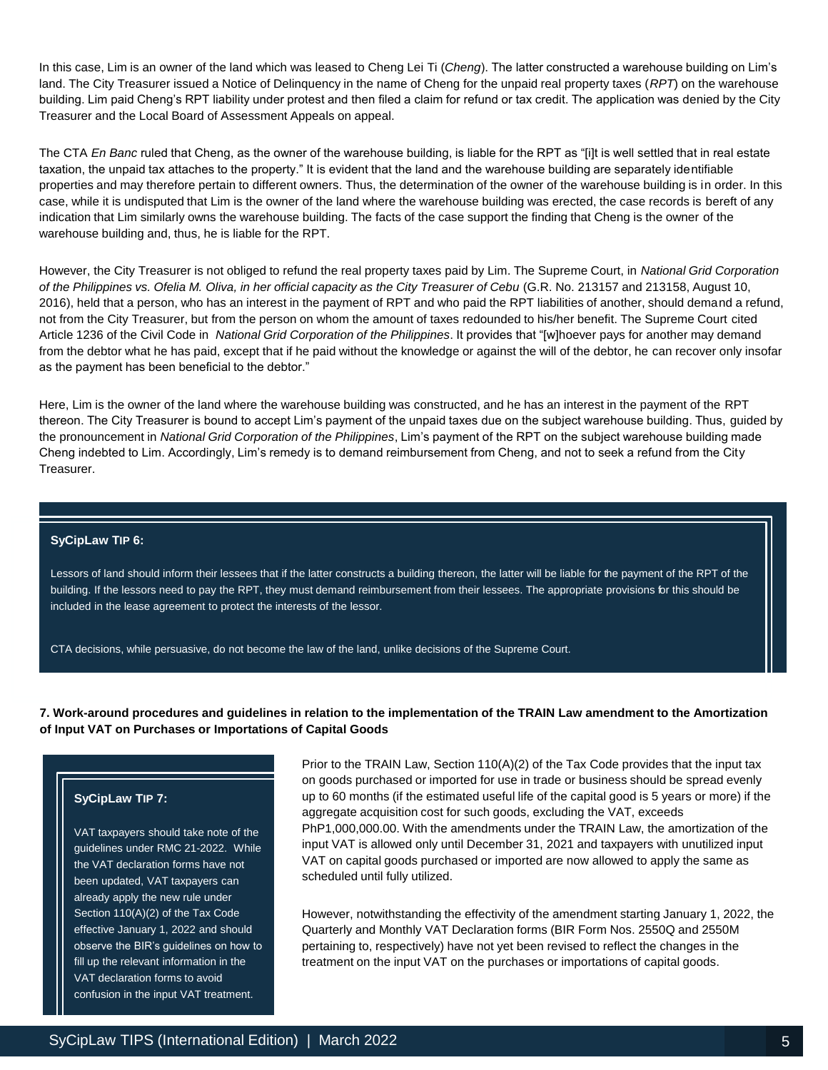In this case, Lim is an owner of the land which was leased to Cheng Lei Ti (*Cheng*). The latter constructed a warehouse building on Lim's land. The City Treasurer issued a Notice of Delinquency in the name of Cheng for the unpaid real property taxes (*RPT*) on the warehouse building. Lim paid Cheng's RPT liability under protest and then filed a claim for refund or tax credit. The application was denied by the City Treasurer and the Local Board of Assessment Appeals on appeal.

The CTA *En Banc* ruled that Cheng, as the owner of the warehouse building, is liable for the RPT as "[i]t is well settled that in real estate taxation, the unpaid tax attaches to the property." It is evident that the land and the warehouse building are separately identifiable properties and may therefore pertain to different owners. Thus, the determination of the owner of the warehouse building is in order. In this case, while it is undisputed that Lim is the owner of the land where the warehouse building was erected, the case records is bereft of any indication that Lim similarly owns the warehouse building. The facts of the case support the finding that Cheng is the owner of the warehouse building and, thus, he is liable for the RPT.

However, the City Treasurer is not obliged to refund the real property taxes paid by Lim. The Supreme Court, in *National Grid Corporation of the Philippines vs. Ofelia M. Oliva, in her official capacity as the City Treasurer of Cebu* (G.R. No. 213157 and 213158, August 10, 2016), held that a person, who has an interest in the payment of RPT and who paid the RPT liabilities of another, should demand a refund, not from the City Treasurer, but from the person on whom the amount of taxes redounded to his/her benefit. The Supreme Court cited Article 1236 of the Civil Code in *National Grid Corporation of the Philippines*. It provides that "[w]hoever pays for another may demand from the debtor what he has paid, except that if he paid without the knowledge or against the will of the debtor, he can recover only insofar as the payment has been beneficial to the debtor."

Here, Lim is the owner of the land where the warehouse building was constructed, and he has an interest in the payment of the RPT thereon. The City Treasurer is bound to accept Lim's payment of the unpaid taxes due on the subject warehouse building. Thus, guided by the pronouncement in *National Grid Corporation of the Philippines*, Lim's payment of the RPT on the subject warehouse building made Cheng indebted to Lim. Accordingly, Lim's remedy is to demand reimbursement from Cheng, and not to seek a refund from the City Treasurer.

#### **SyCipLaw TIP 6:**

Lessors of land should inform their lessees that if the latter constructs a building thereon, the latter will be liable for the payment of the RPT of the building. If the lessors need to pay the RPT, they must demand reimbursement from their lessees. The appropriate provisions for this should be included in the lease agreement to protect the interests of the lessor.

CTA decisions, while persuasive, do not become the law of the land, unlike decisions of the Supreme Court.

# **7. Work-around procedures and guidelines in relation to the implementation of the TRAIN Law amendment to the Amortization of Input VAT on Purchases or Importations of Capital Goods**

# **SyCipLaw TIP 7:**

VAT taxpayers should take note of the guidelines under RMC 21-2022. While the VAT declaration forms have not been updated, VAT taxpayers can already apply the new rule under Section 110(A)(2) of the Tax Code effective January 1, 2022 and should observe the BIR's guidelines on how to fill up the relevant information in the VAT declaration forms to avoid confusion in the input VAT treatment.

Prior to the TRAIN Law, Section 110(A)(2) of the Tax Code provides that the input tax on goods purchased or imported for use in trade or business should be spread evenly up to 60 months (if the estimated useful life of the capital good is 5 years or more) if the aggregate acquisition cost for such goods, excluding the VAT, exceeds PhP1,000,000.00. With the amendments under the TRAIN Law, the amortization of the input VAT is allowed only until December 31, 2021 and taxpayers with unutilized input VAT on capital goods purchased or imported are now allowed to apply the same as scheduled until fully utilized.

However, notwithstanding the effectivity of the amendment starting January 1, 2022, the Quarterly and Monthly VAT Declaration forms (BIR Form Nos. 2550Q and 2550M pertaining to, respectively) have not yet been revised to reflect the changes in the treatment on the input VAT on the purchases or importations of capital goods.

3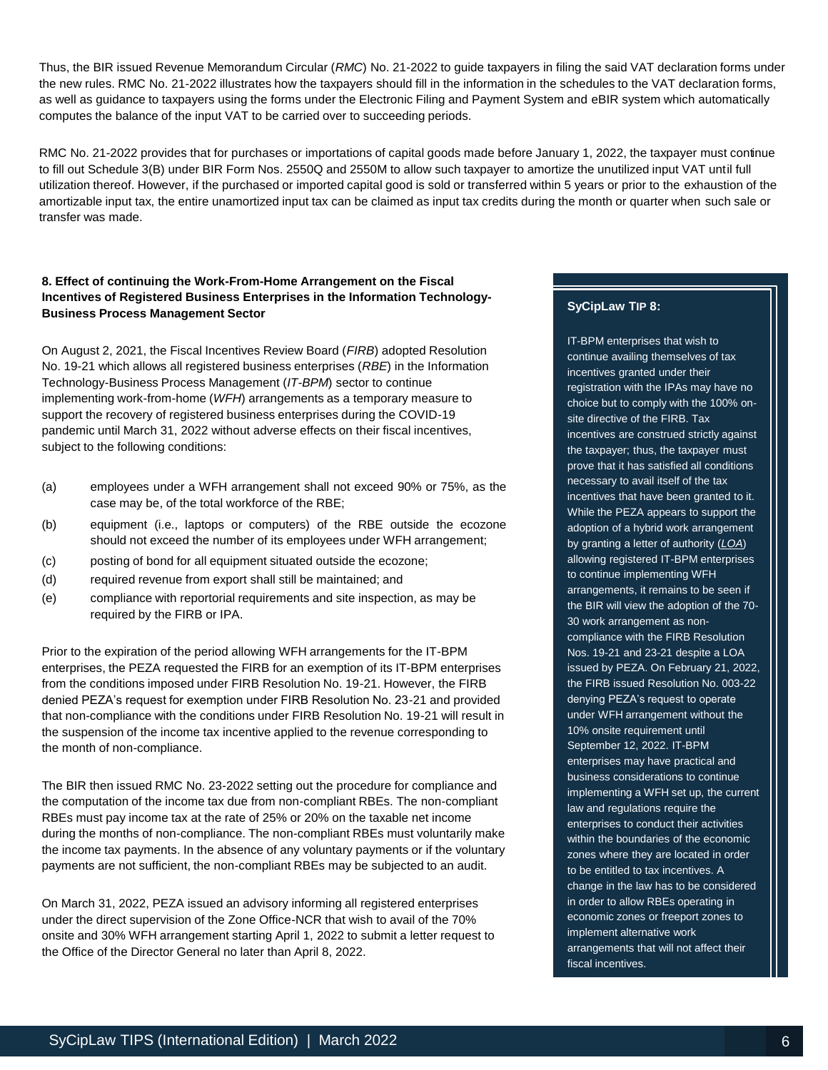Thus, the BIR issued Revenue Memorandum Circular (*RMC*) No. 21-2022 to guide taxpayers in filing the said VAT declaration forms under the new rules. RMC No. 21-2022 illustrates how the taxpayers should fill in the information in the schedules to the VAT declaration forms, as well as guidance to taxpayers using the forms under the Electronic Filing and Payment System and eBIR system which automatically computes the balance of the input VAT to be carried over to succeeding periods.

RMC No. 21-2022 provides that for purchases or importations of capital goods made before January 1, 2022, the taxpayer must continue to fill out Schedule 3(B) under BIR Form Nos. 2550Q and 2550M to allow such taxpayer to amortize the unutilized input VAT until full utilization thereof. However, if the purchased or imported capital good is sold or transferred within 5 years or prior to the exhaustion of the amortizable input tax, the entire unamortized input tax can be claimed as input tax credits during the month or quarter when such sale or transfer was made.

# **8. Effect of continuing the Work-From-Home Arrangement on the Fiscal Incentives of Registered Business Enterprises in the Information Technology-Business Process Management Sector**

On August 2, 2021, the Fiscal Incentives Review Board (*FIRB*) adopted Resolution No. 19-21 which allows all registered business enterprises (*RBE*) in the Information Technology-Business Process Management (*IT-BPM*) sector to continue implementing work-from-home (*WFH*) arrangements as a temporary measure to support the recovery of registered business enterprises during the COVID-19 pandemic until March 31, 2022 without adverse effects on their fiscal incentives, subject to the following conditions:

- (a) employees under a WFH arrangement shall not exceed 90% or 75%, as the case may be, of the total workforce of the RBE;
- (b) equipment (i.e., laptops or computers) of the RBE outside the ecozone should not exceed the number of its employees under WFH arrangement;
- (c) posting of bond for all equipment situated outside the ecozone;
- (d) required revenue from export shall still be maintained; and
- (e) compliance with reportorial requirements and site inspection, as may be required by the FIRB or IPA.

Prior to the expiration of the period allowing WFH arrangements for the IT-BPM enterprises, the PEZA requested the FIRB for an exemption of its IT-BPM enterprises from the conditions imposed under FIRB Resolution No. 19-21. However, the FIRB denied PEZA's request for exemption under FIRB Resolution No. 23-21 and provided that non-compliance with the conditions under FIRB Resolution No. 19-21 will result in the suspension of the income tax incentive applied to the revenue corresponding to the month of non-compliance.

The BIR then issued RMC No. 23-2022 setting out the procedure for compliance and the computation of the income tax due from non-compliant RBEs. The non-compliant RBEs must pay income tax at the rate of 25% or 20% on the taxable net income during the months of non-compliance. The non-compliant RBEs must voluntarily make the income tax payments. In the absence of any voluntary payments or if the voluntary payments are not sufficient, the non-compliant RBEs may be subjected to an audit.

On March 31, 2022, PEZA issued an advisory informing all registered enterprises under the direct supervision of the Zone Office-NCR that wish to avail of the 70% onsite and 30% WFH arrangement starting April 1, 2022 to submit a letter request to the Office of the Director General no later than April 8, 2022.

# **SyCipLaw TIP 8:**

IT-BPM enterprises that wish to continue availing themselves of tax incentives granted under their registration with the IPAs may have no choice but to comply with the 100% onsite directive of the FIRB. Tax incentives are construed strictly against the taxpayer; thus, the taxpayer must prove that it has satisfied all conditions necessary to avail itself of the tax incentives that have been granted to it. While the PEZA appears to support the adoption of a hybrid work arrangement by granting a letter of authority (*LOA*) allowing registered IT-BPM enterprises to continue implementing WFH arrangements, it remains to be seen if the BIR will view the adoption of the 70- 30 work arrangement as noncompliance with the FIRB Resolution Nos. 19-21 and 23-21 despite a LOA issued by PEZA. On February 21, 2022, the FIRB issued Resolution No. 003-22 denying PEZA's request to operate under WFH arrangement without the 10% onsite requirement until September 12, 2022. IT-BPM enterprises may have practical and business considerations to continue implementing a WFH set up, the current law and regulations require the enterprises to conduct their activities within the boundaries of the economic zones where they are located in order to be entitled to tax incentives. A change in the law has to be considered in order to allow RBEs operating in economic zones or freeport zones to implement alternative work arrangements that will not affect their fiscal incentives.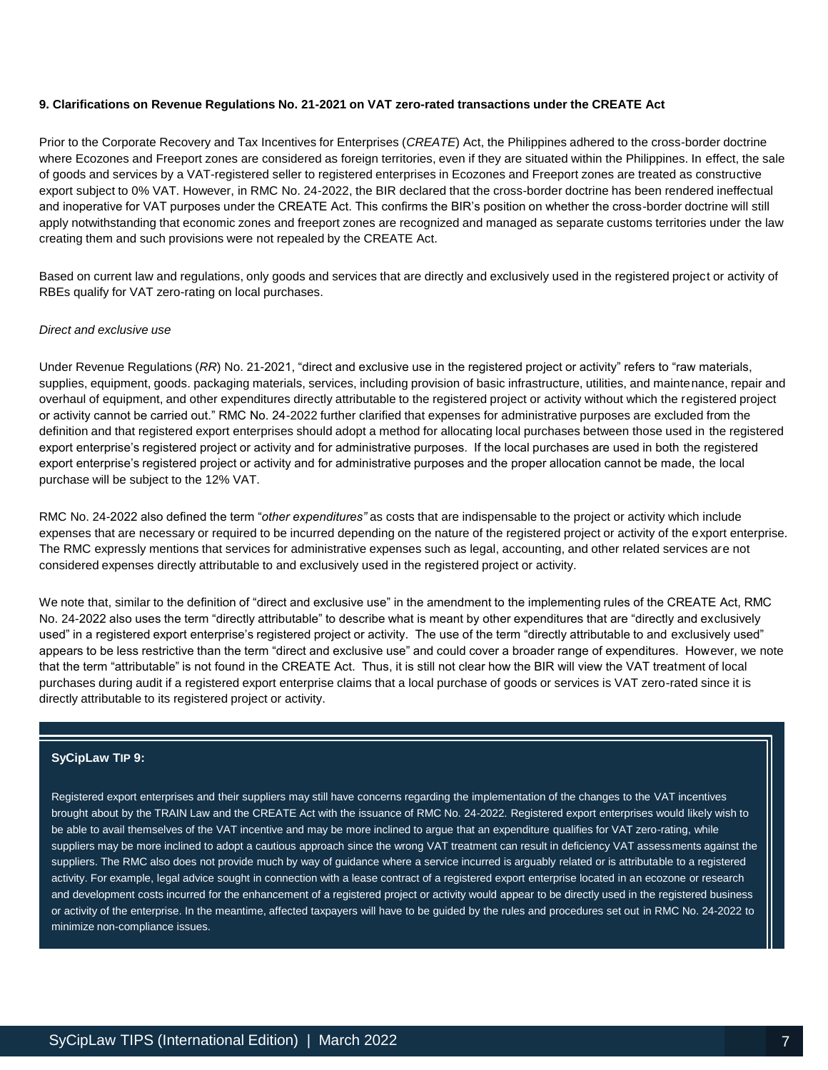# **9. Clarifications on Revenue Regulations No. 21-2021 on VAT zero-rated transactions under the CREATE Act**

Prior to the Corporate Recovery and Tax Incentives for Enterprises (*CREATE*) Act, the Philippines adhered to the cross-border doctrine where Ecozones and Freeport zones are considered as foreign territories, even if they are situated within the Philippines. In effect, the sale of goods and services by a VAT-registered seller to registered enterprises in Ecozones and Freeport zones are treated as constructive export subject to 0% VAT. However, in RMC No. 24-2022, the BIR declared that the cross-border doctrine has been rendered ineffectual and inoperative for VAT purposes under the CREATE Act. This confirms the BIR's position on whether the cross-border doctrine will still apply notwithstanding that economic zones and freeport zones are recognized and managed as separate customs territories under the law creating them and such provisions were not repealed by the CREATE Act.

Based on current law and regulations, only goods and services that are directly and exclusively used in the registered project or activity of RBEs qualify for VAT zero-rating on local purchases.

#### *Direct and exclusive use*

Under Revenue Regulations (*RR*) No. 21-2021, "direct and exclusive use in the registered project or activity" refers to "raw materials, supplies, equipment, goods. packaging materials, services, including provision of basic infrastructure, utilities, and maintenance, repair and overhaul of equipment, and other expenditures directly attributable to the registered project or activity without which the registered project or activity cannot be carried out." RMC No. 24-2022 further clarified that expenses for administrative purposes are excluded from the definition and that registered export enterprises should adopt a method for allocating local purchases between those used in the registered export enterprise's registered project or activity and for administrative purposes. If the local purchases are used in both the registered export enterprise's registered project or activity and for administrative purposes and the proper allocation cannot be made, the local purchase will be subject to the 12% VAT.

RMC No. 24-2022 also defined the term "*other expenditures"* as costs that are indispensable to the project or activity which include expenses that are necessary or required to be incurred depending on the nature of the registered project or activity of the export enterprise. The RMC expressly mentions that services for administrative expenses such as legal, accounting, and other related services are not considered expenses directly attributable to and exclusively used in the registered project or activity.

We note that, similar to the definition of "direct and exclusive use" in the amendment to the implementing rules of the CREATE Act, RMC No. 24-2022 also uses the term "directly attributable" to describe what is meant by other expenditures that are "directly and exclusively used" in a registered export enterprise's registered project or activity. The use of the term "directly attributable to and exclusively used" appears to be less restrictive than the term "direct and exclusive use" and could cover a broader range of expenditures. However, we note that the term "attributable" is not found in the CREATE Act. Thus, it is still not clear how the BIR will view the VAT treatment of local purchases during audit if a registered export enterprise claims that a local purchase of goods or services is VAT zero-rated since it is directly attributable to its registered project or activity.

# **SyCipLaw TIP 9:**

Registered export enterprises and their suppliers may still have concerns regarding the implementation of the changes to the VAT incentives brought about by the TRAIN Law and the CREATE Act with the issuance of RMC No. 24-2022. Registered export enterprises would likely wish to be able to avail themselves of the VAT incentive and may be more inclined to argue that an expenditure qualifies for VAT zero-rating, while suppliers may be more inclined to adopt a cautious approach since the wrong VAT treatment can result in deficiency VAT assessments against the suppliers. The RMC also does not provide much by way of guidance where a service incurred is arguably related or is attributable to a registered activity. For example, legal advice sought in connection with a lease contract of a registered export enterprise located in an ecozone or research and development costs incurred for the enhancement of a registered project or activity would appear to be directly used in the registered business or activity of the enterprise. In the meantime, affected taxpayers will have to be guided by the rules and procedures set out in RMC No. 24-2022 to minimize non-compliance issues.

L